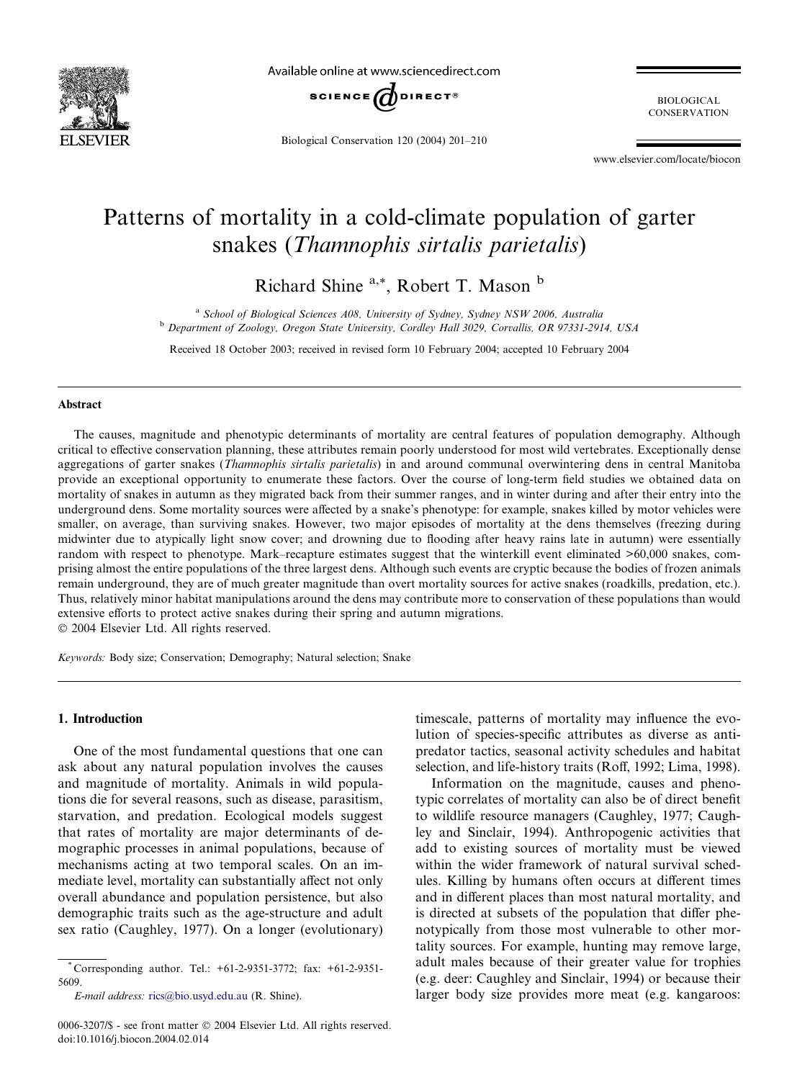

Available online at www.sciencedirect.com



Biological Conservation 120 (2004) 201–210

BIOLOGICAL **CONSERVATION** 

www.elsevier.com/locate/biocon

# Patterns of mortality in a cold-climate population of garter snakes (Thamnophis sirtalis parietalis)

Richard Shine <sup>a,\*</sup>, Robert T. Mason <sup>b</sup>

<sup>a</sup> School of Biological Sciences A08, University of Sydney, Sydney NSW 2006, Australia <sup>b</sup> Department of Zoology, Oregon State University, Cordley Hall 3029, Corvallis, OR 97331-2914, USA

Received 18 October 2003; received in revised form 10 February 2004; accepted 10 February 2004

#### Abstract

The causes, magnitude and phenotypic determinants of mortality are central features of population demography. Although critical to effective conservation planning, these attributes remain poorly understood for most wild vertebrates. Exceptionally dense aggregations of garter snakes (*Thamnophis sirtalis parietalis*) in and around communal overwintering dens in central Manitoba provide an exceptional opportunity to enumerate these factors. Over the course of long-term field studies we obtained data on mortality of snakes in autumn as they migrated back from their summer ranges, and in winter during and after their entry into the underground dens. Some mortality sources were affected by a snake's phenotype: for example, snakes killed by motor vehicles were smaller, on average, than surviving snakes. However, two major episodes of mortality at the dens themselves (freezing during midwinter due to atypically light snow cover; and drowning due to flooding after heavy rains late in autumn) were essentially random with respect to phenotype. Mark–recapture estimates suggest that the winterkill event eliminated >60,000 snakes, comprising almost the entire populations of the three largest dens. Although such events are cryptic because the bodies of frozen animals remain underground, they are of much greater magnitude than overt mortality sources for active snakes (roadkills, predation, etc.). Thus, relatively minor habitat manipulations around the dens may contribute more to conservation of these populations than would extensive efforts to protect active snakes during their spring and autumn migrations. 2004 Elsevier Ltd. All rights reserved.

Keywords: Body size; Conservation; Demography; Natural selection; Snake

# 1. Introduction

One of the most fundamental questions that one can ask about any natural population involves the causes and magnitude of mortality. Animals in wild populations die for several reasons, such as disease, parasitism, starvation, and predation. Ecological models suggest that rates of mortality are major determinants of demographic processes in animal populations, because of mechanisms acting at two temporal scales. On an immediate level, mortality can substantially affect not only overall abundance and population persistence, but also demographic traits such as the age-structure and adult sex ratio (Caughley, 1977). On a longer (evolutionary)

\* Corresponding author. Tel.: +61-2-9351-3772; fax: +61-2-9351- 5609.

E-mail address: [rics@bio.usyd.edu.au](mail to: rics@bio.usyd.edu.au) (R. Shine).

0006-3207/\$ - see front matter  $\odot$  2004 Elsevier Ltd. All rights reserved. doi:10.1016/j.biocon.2004.02.014

timescale, patterns of mortality may influence the evolution of species-specific attributes as diverse as antipredator tactics, seasonal activity schedules and habitat selection, and life-history traits (Roff, 1992; Lima, 1998).

Information on the magnitude, causes and phenotypic correlates of mortality can also be of direct benefit to wildlife resource managers (Caughley, 1977; Caughley and Sinclair, 1994). Anthropogenic activities that add to existing sources of mortality must be viewed within the wider framework of natural survival schedules. Killing by humans often occurs at different times and in different places than most natural mortality, and is directed at subsets of the population that differ phenotypically from those most vulnerable to other mortality sources. For example, hunting may remove large, adult males because of their greater value for trophies (e.g. deer: Caughley and Sinclair, 1994) or because their larger body size provides more meat (e.g. kangaroos: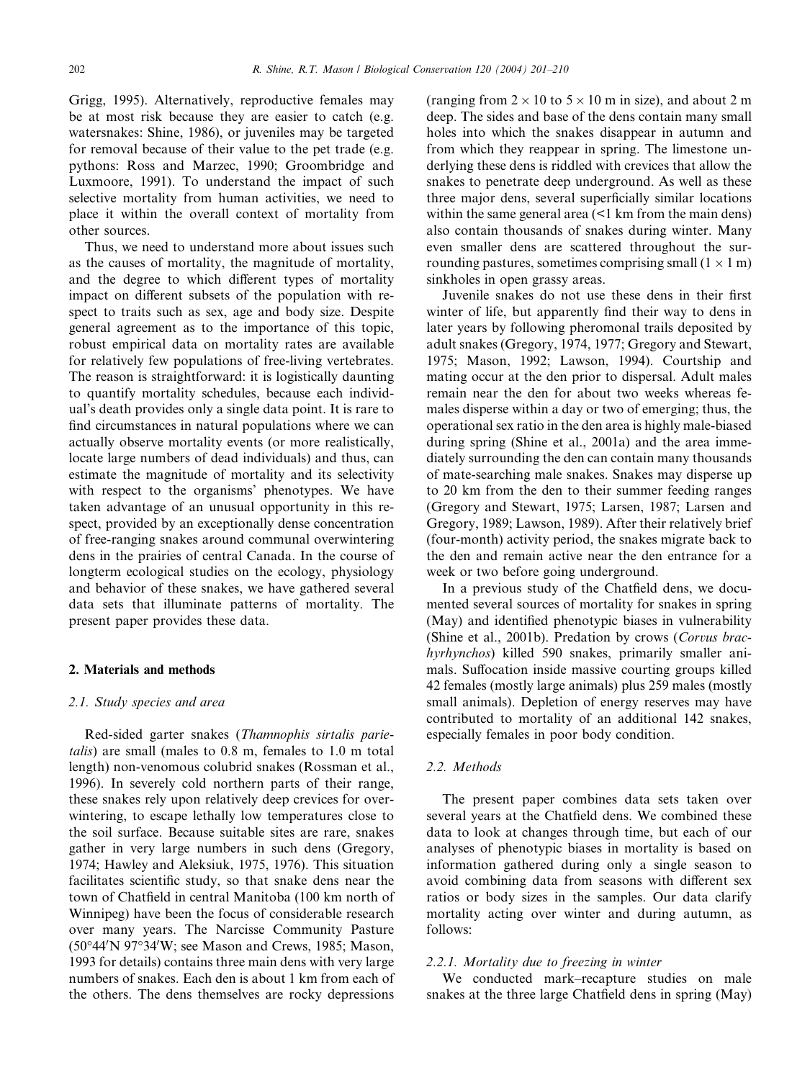Grigg, 1995). Alternatively, reproductive females may be at most risk because they are easier to catch (e.g. watersnakes: Shine, 1986), or juveniles may be targeted for removal because of their value to the pet trade (e.g. pythons: Ross and Marzec, 1990; Groombridge and Luxmoore, 1991). To understand the impact of such selective mortality from human activities, we need to place it within the overall context of mortality from other sources.

Thus, we need to understand more about issues such as the causes of mortality, the magnitude of mortality, and the degree to which different types of mortality impact on different subsets of the population with respect to traits such as sex, age and body size. Despite general agreement as to the importance of this topic, robust empirical data on mortality rates are available for relatively few populations of free-living vertebrates. The reason is straightforward: it is logistically daunting to quantify mortality schedules, because each individual's death provides only a single data point. It is rare to find circumstances in natural populations where we can actually observe mortality events (or more realistically, locate large numbers of dead individuals) and thus, can estimate the magnitude of mortality and its selectivity with respect to the organisms' phenotypes. We have taken advantage of an unusual opportunity in this respect, provided by an exceptionally dense concentration of free-ranging snakes around communal overwintering dens in the prairies of central Canada. In the course of longterm ecological studies on the ecology, physiology and behavior of these snakes, we have gathered several data sets that illuminate patterns of mortality. The present paper provides these data.

## 2. Materials and methods

## 2.1. Study species and area

Red-sided garter snakes (Thamnophis sirtalis parietalis) are small (males to 0.8 m, females to 1.0 m total length) non-venomous colubrid snakes (Rossman et al., 1996). In severely cold northern parts of their range, these snakes rely upon relatively deep crevices for overwintering, to escape lethally low temperatures close to the soil surface. Because suitable sites are rare, snakes gather in very large numbers in such dens (Gregory, 1974; Hawley and Aleksiuk, 1975, 1976). This situation facilitates scientific study, so that snake dens near the town of Chatfield in central Manitoba (100 km north of Winnipeg) have been the focus of considerable research over many years. The Narcisse Community Pasture (50°44'N 97°34'W; see Mason and Crews, 1985; Mason, 1993 for details) contains three main dens with very large numbers of snakes. Each den is about 1 km from each of the others. The dens themselves are rocky depressions (ranging from  $2 \times 10$  to  $5 \times 10$  m in size), and about 2 m deep. The sides and base of the dens contain many small holes into which the snakes disappear in autumn and from which they reappear in spring. The limestone underlying these dens is riddled with crevices that allow the snakes to penetrate deep underground. As well as these three major dens, several superficially similar locations within the same general area  $(1 \text{ km from the main dens})$ also contain thousands of snakes during winter. Many even smaller dens are scattered throughout the surrounding pastures, sometimes comprising small  $(1 \times 1$  m) sinkholes in open grassy areas.

Juvenile snakes do not use these dens in their first winter of life, but apparently find their way to dens in later years by following pheromonal trails deposited by adult snakes (Gregory, 1974, 1977; Gregory and Stewart, 1975; Mason, 1992; Lawson, 1994). Courtship and mating occur at the den prior to dispersal. Adult males remain near the den for about two weeks whereas females disperse within a day or two of emerging; thus, the operational sex ratio in the den area is highly male-biased during spring (Shine et al., 2001a) and the area immediately surrounding the den can contain many thousands of mate-searching male snakes. Snakes may disperse up to 20 km from the den to their summer feeding ranges (Gregory and Stewart, 1975; Larsen, 1987; Larsen and Gregory, 1989; Lawson, 1989). After their relatively brief (four-month) activity period, the snakes migrate back to the den and remain active near the den entrance for a week or two before going underground.

In a previous study of the Chatfield dens, we documented several sources of mortality for snakes in spring (May) and identified phenotypic biases in vulnerability (Shine et al., 2001b). Predation by crows (Corvus brachyrhynchos) killed 590 snakes, primarily smaller animals. Suffocation inside massive courting groups killed 42 females (mostly large animals) plus 259 males (mostly small animals). Depletion of energy reserves may have contributed to mortality of an additional 142 snakes, especially females in poor body condition.

## 2.2. Methods

The present paper combines data sets taken over several years at the Chatfield dens. We combined these data to look at changes through time, but each of our analyses of phenotypic biases in mortality is based on information gathered during only a single season to avoid combining data from seasons with different sex ratios or body sizes in the samples. Our data clarify mortality acting over winter and during autumn, as follows:

## 2.2.1. Mortality due to freezing in winter

We conducted mark–recapture studies on male snakes at the three large Chatfield dens in spring (May)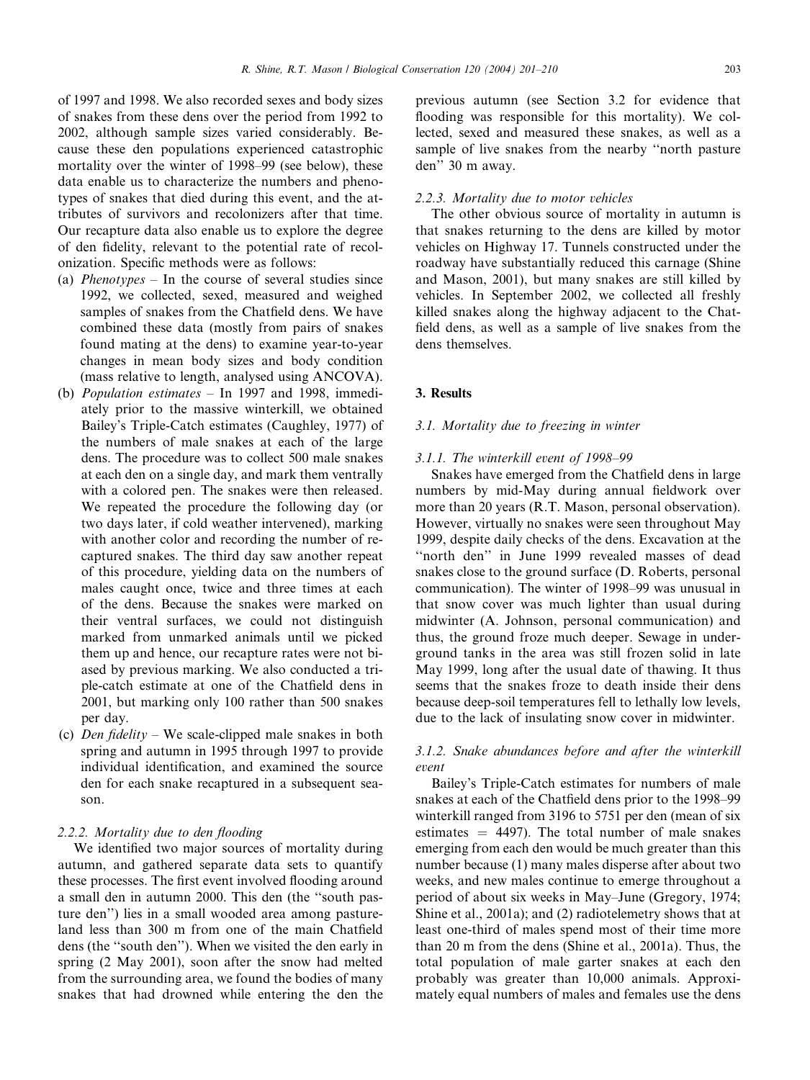of 1997 and 1998. We also recorded sexes and body sizes of snakes from these dens over the period from 1992 to 2002, although sample sizes varied considerably. Because these den populations experienced catastrophic mortality over the winter of 1998–99 (see below), these data enable us to characterize the numbers and phenotypes of snakes that died during this event, and the attributes of survivors and recolonizers after that time. Our recapture data also enable us to explore the degree

onization. Specific methods were as follows: (a) Phenotypes – In the course of several studies since 1992, we collected, sexed, measured and weighed samples of snakes from the Chatfield dens. We have combined these data (mostly from pairs of snakes found mating at the dens) to examine year-to-year changes in mean body sizes and body condition (mass relative to length, analysed using ANCOVA).

of den fidelity, relevant to the potential rate of recol-

- (b) Population estimates In 1997 and 1998, immediately prior to the massive winterkill, we obtained Bailey's Triple-Catch estimates (Caughley, 1977) of the numbers of male snakes at each of the large dens. The procedure was to collect 500 male snakes at each den on a single day, and mark them ventrally with a colored pen. The snakes were then released. We repeated the procedure the following day (or two days later, if cold weather intervened), marking with another color and recording the number of recaptured snakes. The third day saw another repeat of this procedure, yielding data on the numbers of males caught once, twice and three times at each of the dens. Because the snakes were marked on their ventral surfaces, we could not distinguish marked from unmarked animals until we picked them up and hence, our recapture rates were not biased by previous marking. We also conducted a triple-catch estimate at one of the Chatfield dens in 2001, but marking only 100 rather than 500 snakes per day.
- (c) Den fidelity We scale-clipped male snakes in both spring and autumn in 1995 through 1997 to provide individual identification, and examined the source den for each snake recaptured in a subsequent season.

## 2.2.2. Mortality due to den flooding

We identified two major sources of mortality during autumn, and gathered separate data sets to quantify these processes. The first event involved flooding around a small den in autumn 2000. This den (the ''south pasture den'') lies in a small wooded area among pastureland less than 300 m from one of the main Chatfield dens (the ''south den''). When we visited the den early in spring (2 May 2001), soon after the snow had melted from the surrounding area, we found the bodies of many snakes that had drowned while entering the den the previous autumn (see Section 3.2 for evidence that flooding was responsible for this mortality). We collected, sexed and measured these snakes, as well as a sample of live snakes from the nearby ''north pasture den'' 30 m away.

# 2.2.3. Mortality due to motor vehicles

The other obvious source of mortality in autumn is that snakes returning to the dens are killed by motor vehicles on Highway 17. Tunnels constructed under the roadway have substantially reduced this carnage (Shine and Mason, 2001), but many snakes are still killed by vehicles. In September 2002, we collected all freshly killed snakes along the highway adjacent to the Chatfield dens, as well as a sample of live snakes from the dens themselves.

## 3. Results

## 3.1. Mortality due to freezing in winter

#### 3.1.1. The winterkill event of 1998–99

Snakes have emerged from the Chatfield dens in large numbers by mid-May during annual fieldwork over more than 20 years (R.T. Mason, personal observation). However, virtually no snakes were seen throughout May 1999, despite daily checks of the dens. Excavation at the "north den" in June 1999 revealed masses of dead snakes close to the ground surface (D. Roberts, personal communication). The winter of 1998–99 was unusual in that snow cover was much lighter than usual during midwinter (A. Johnson, personal communication) and thus, the ground froze much deeper. Sewage in underground tanks in the area was still frozen solid in late May 1999, long after the usual date of thawing. It thus seems that the snakes froze to death inside their dens because deep-soil temperatures fell to lethally low levels, due to the lack of insulating snow cover in midwinter.

# 3.1.2. Snake abundances before and after the winterkill event

Bailey's Triple-Catch estimates for numbers of male snakes at each of the Chatfield dens prior to the 1998–99 winterkill ranged from 3196 to 5751 per den (mean of six estimates  $= 4497$ ). The total number of male snakes emerging from each den would be much greater than this number because (1) many males disperse after about two weeks, and new males continue to emerge throughout a period of about six weeks in May–June (Gregory, 1974; Shine et al., 2001a); and (2) radiotelemetry shows that at least one-third of males spend most of their time more than 20 m from the dens (Shine et al., 2001a). Thus, the total population of male garter snakes at each den probably was greater than 10,000 animals. Approximately equal numbers of males and females use the dens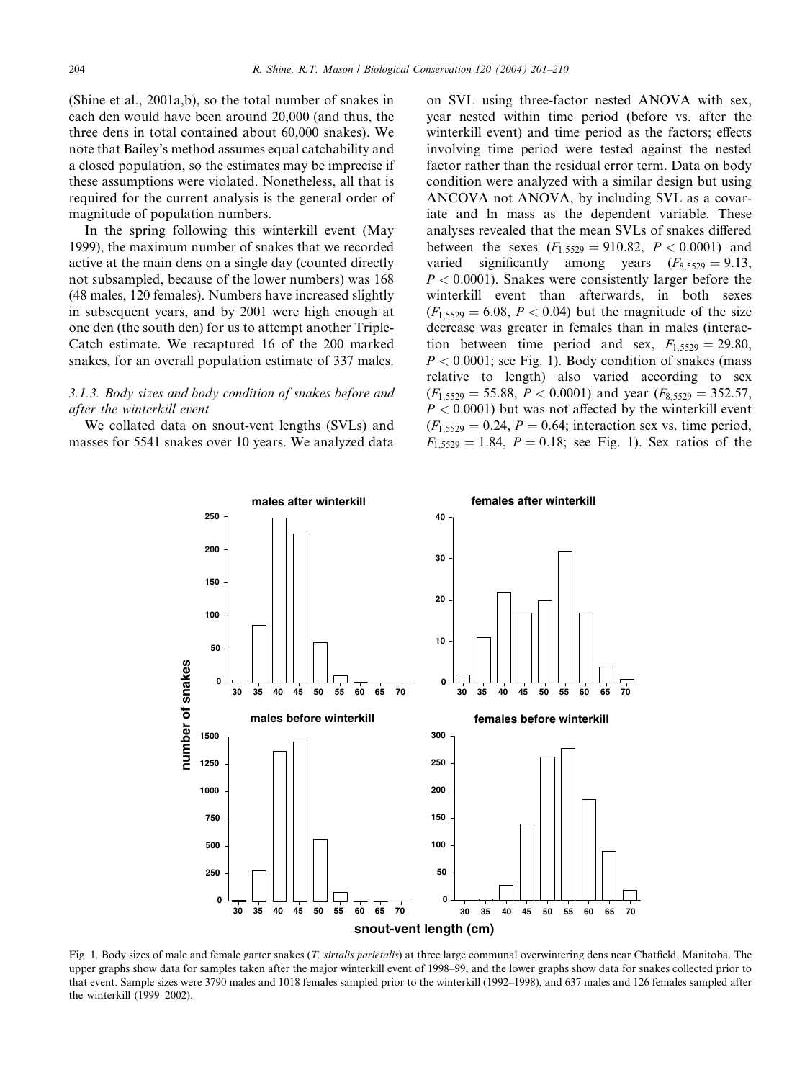(Shine et al., 2001a,b), so the total number of snakes in each den would have been around 20,000 (and thus, the three dens in total contained about 60,000 snakes). We note that Bailey's method assumes equal catchability and a closed population, so the estimates may be imprecise if these assumptions were violated. Nonetheless, all that is required for the current analysis is the general order of magnitude of population numbers.

In the spring following this winterkill event (May 1999), the maximum number of snakes that we recorded active at the main dens on a single day (counted directly not subsampled, because of the lower numbers) was 168 (48 males, 120 females). Numbers have increased slightly in subsequent years, and by 2001 were high enough at one den (the south den) for us to attempt another Triple-Catch estimate. We recaptured 16 of the 200 marked snakes, for an overall population estimate of 337 males.

# 3.1.3. Body sizes and body condition of snakes before and after the winterkill event

We collated data on snout-vent lengths (SVLs) and masses for 5541 snakes over 10 years. We analyzed data

on SVL using three-factor nested ANOVA with sex, year nested within time period (before vs. after the winterkill event) and time period as the factors; effects involving time period were tested against the nested factor rather than the residual error term. Data on body condition were analyzed with a similar design but using ANCOVA not ANOVA, by including SVL as a covariate and ln mass as the dependent variable. These analyses revealed that the mean SVLs of snakes differed between the sexes  $(F_1, 5529) = 910.82$ ,  $P < 0.0001$  and varied significantly among years  $(F_{8,5529} = 9.13,$  $P < 0.0001$ ). Snakes were consistently larger before the winterkill event than afterwards, in both sexes  $(F_{1,5529} = 6.08, P < 0.04)$  but the magnitude of the size decrease was greater in females than in males (interaction between time period and sex,  $F_{1,5529} = 29.80$ ,  $P < 0.0001$ ; see Fig. 1). Body condition of snakes (mass relative to length) also varied according to sex  $(F_{1,5529} = 55.88, P < 0.0001)$  and year  $(F_{8,5529} = 352.57,$  $P < 0.0001$ ) but was not affected by the winterkill event  $(F_{1,5529} = 0.24, P = 0.64;$  interaction sex vs. time period,  $F_{1,5529} = 1.84$ ,  $P = 0.18$ ; see Fig. 1). Sex ratios of the



Fig. 1. Body sizes of male and female garter snakes (T. sirtalis parietalis) at three large communal overwintering dens near Chatfield, Manitoba. The upper graphs show data for samples taken after the major winterkill event of 1998–99, and the lower graphs show data for snakes collected prior to that event. Sample sizes were 3790 males and 1018 females sampled prior to the winterkill (1992–1998), and 637 males and 126 females sampled after the winterkill (1999–2002).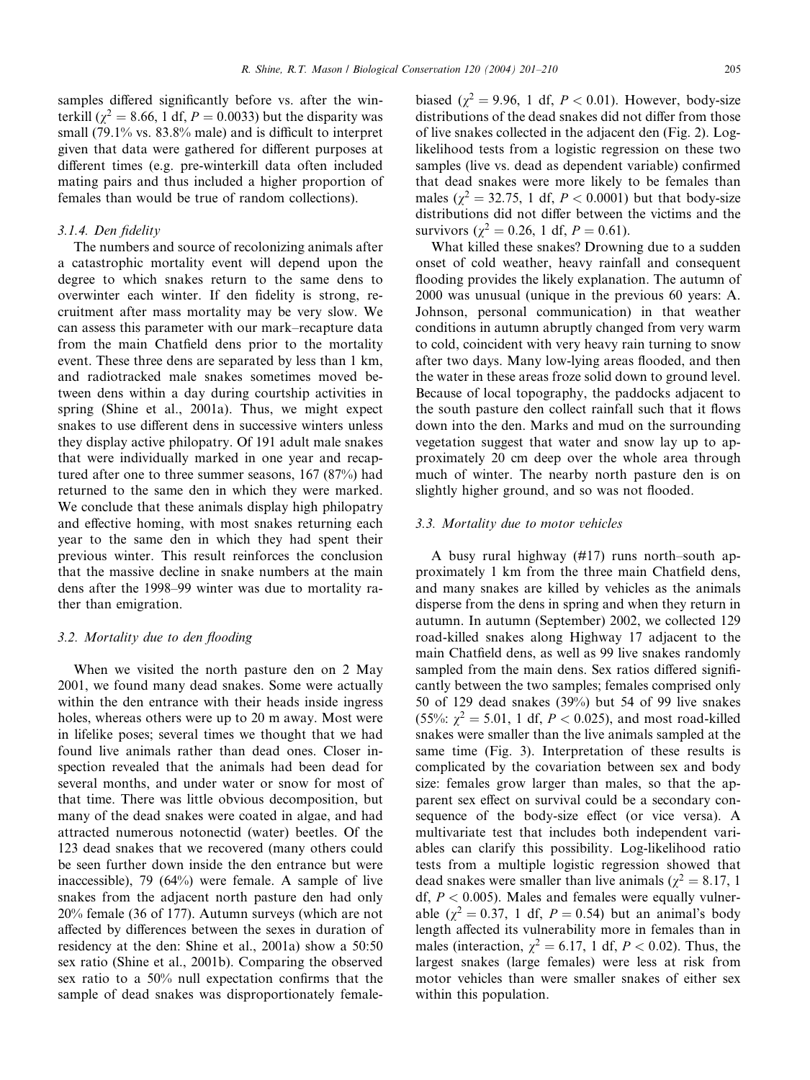R. Shine, R.T. Mason / Biological Conservation 120 (2004) 201–210 205

samples differed significantly before vs. after the winterkill ( $\chi^2 = 8.66$ , 1 df,  $P = 0.0033$ ) but the disparity was small (79.1% vs. 83.8% male) and is difficult to interpret given that data were gathered for different purposes at different times (e.g. pre-winterkill data often included mating pairs and thus included a higher proportion of females than would be true of random collections).

## 3.1.4. Den fidelity

The numbers and source of recolonizing animals after a catastrophic mortality event will depend upon the degree to which snakes return to the same dens to overwinter each winter. If den fidelity is strong, recruitment after mass mortality may be very slow. We can assess this parameter with our mark–recapture data from the main Chatfield dens prior to the mortality event. These three dens are separated by less than 1 km, and radiotracked male snakes sometimes moved between dens within a day during courtship activities in spring (Shine et al., 2001a). Thus, we might expect snakes to use different dens in successive winters unless they display active philopatry. Of 191 adult male snakes that were individually marked in one year and recaptured after one to three summer seasons, 167 (87%) had returned to the same den in which they were marked. We conclude that these animals display high philopatry and effective homing, with most snakes returning each year to the same den in which they had spent their previous winter. This result reinforces the conclusion that the massive decline in snake numbers at the main dens after the 1998–99 winter was due to mortality rather than emigration.

## 3.2. Mortality due to den flooding

When we visited the north pasture den on 2 May 2001, we found many dead snakes. Some were actually within the den entrance with their heads inside ingress holes, whereas others were up to 20 m away. Most were in lifelike poses; several times we thought that we had found live animals rather than dead ones. Closer inspection revealed that the animals had been dead for several months, and under water or snow for most of that time. There was little obvious decomposition, but many of the dead snakes were coated in algae, and had attracted numerous notonectid (water) beetles. Of the 123 dead snakes that we recovered (many others could be seen further down inside the den entrance but were inaccessible), 79 (64%) were female. A sample of live snakes from the adjacent north pasture den had only 20% female (36 of 177). Autumn surveys (which are not affected by differences between the sexes in duration of residency at the den: Shine et al., 2001a) show a 50:50 sex ratio (Shine et al., 2001b). Comparing the observed sex ratio to a 50% null expectation confirms that the sample of dead snakes was disproportionately femalebiased ( $\chi^2$  = 9.96, 1 df, P < 0.01). However, body-size distributions of the dead snakes did not differ from those of live snakes collected in the adjacent den (Fig. 2). Loglikelihood tests from a logistic regression on these two samples (live vs. dead as dependent variable) confirmed that dead snakes were more likely to be females than males ( $\chi^2$  = 32.75, 1 df, P < 0.0001) but that body-size distributions did not differ between the victims and the survivors ( $\gamma^2 = 0.26$ , 1 df,  $P = 0.61$ ).

What killed these snakes? Drowning due to a sudden onset of cold weather, heavy rainfall and consequent flooding provides the likely explanation. The autumn of 2000 was unusual (unique in the previous 60 years: A. Johnson, personal communication) in that weather conditions in autumn abruptly changed from very warm to cold, coincident with very heavy rain turning to snow after two days. Many low-lying areas flooded, and then the water in these areas froze solid down to ground level. Because of local topography, the paddocks adjacent to the south pasture den collect rainfall such that it flows down into the den. Marks and mud on the surrounding vegetation suggest that water and snow lay up to approximately 20 cm deep over the whole area through much of winter. The nearby north pasture den is on slightly higher ground, and so was not flooded.

#### 3.3. Mortality due to motor vehicles

A busy rural highway (#17) runs north–south approximately 1 km from the three main Chatfield dens, and many snakes are killed by vehicles as the animals disperse from the dens in spring and when they return in autumn. In autumn (September) 2002, we collected 129 road-killed snakes along Highway 17 adjacent to the main Chatfield dens, as well as 99 live snakes randomly sampled from the main dens. Sex ratios differed significantly between the two samples; females comprised only 50 of 129 dead snakes (39%) but 54 of 99 live snakes (55%:  $\chi^2$  = 5.01, 1 df, *P* < 0.025), and most road-killed snakes were smaller than the live animals sampled at the same time (Fig. 3). Interpretation of these results is complicated by the covariation between sex and body size: females grow larger than males, so that the apparent sex effect on survival could be a secondary consequence of the body-size effect (or vice versa). A multivariate test that includes both independent variables can clarify this possibility. Log-likelihood ratio tests from a multiple logistic regression showed that dead snakes were smaller than live animals ( $\gamma^2 = 8.17$ , 1 df,  $P < 0.005$ ). Males and females were equally vulnerable ( $\chi^2 = 0.37$ , 1 df,  $P = 0.54$ ) but an animal's body length affected its vulnerability more in females than in males (interaction,  $\chi^2 = 6.17$ , 1 df,  $P < 0.02$ ). Thus, the largest snakes (large females) were less at risk from motor vehicles than were smaller snakes of either sex within this population.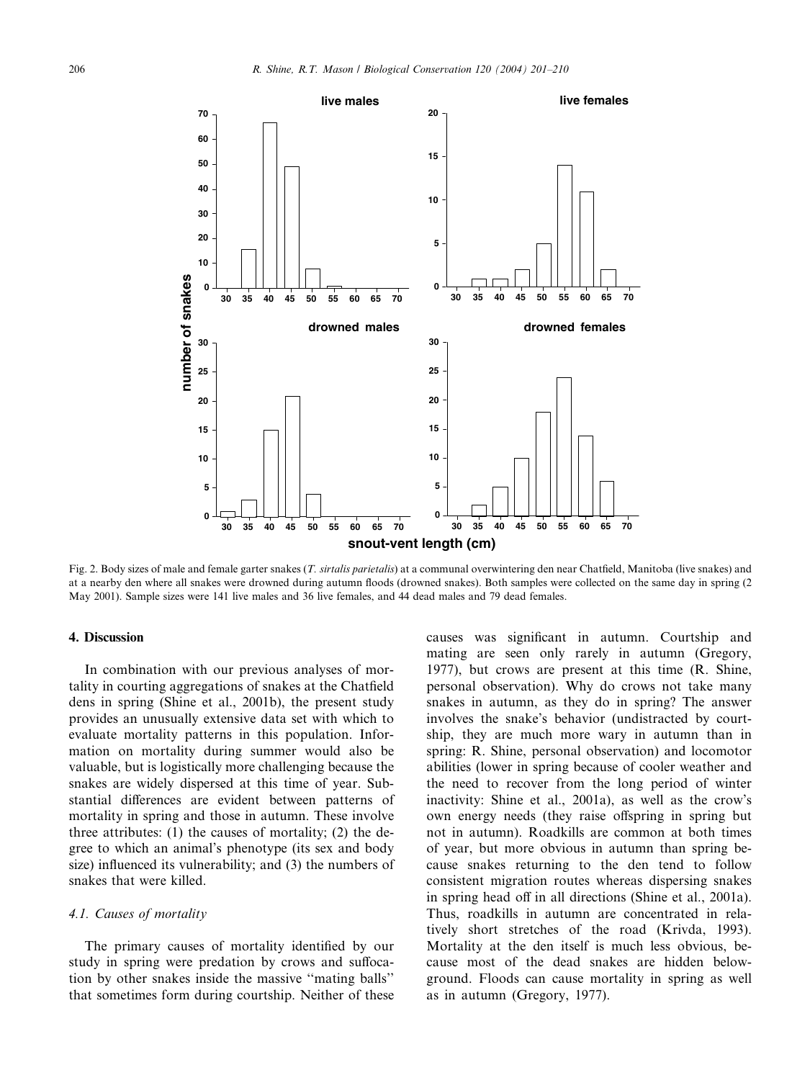

Fig. 2. Body sizes of male and female garter snakes (T. sirtalis parietalis) at a communal overwintering den near Chatfield, Manitoba (live snakes) and at a nearby den where all snakes were drowned during autumn floods (drowned snakes). Both samples were collected on the same day in spring (2 May 2001). Sample sizes were 141 live males and 36 live females, and 44 dead males and 79 dead females.

## 4. Discussion

In combination with our previous analyses of mortality in courting aggregations of snakes at the Chatfield dens in spring (Shine et al., 2001b), the present study provides an unusually extensive data set with which to evaluate mortality patterns in this population. Information on mortality during summer would also be valuable, but is logistically more challenging because the snakes are widely dispersed at this time of year. Substantial differences are evident between patterns of mortality in spring and those in autumn. These involve three attributes: (1) the causes of mortality; (2) the degree to which an animal's phenotype (its sex and body size) influenced its vulnerability; and (3) the numbers of snakes that were killed.

#### 4.1. Causes of mortality

The primary causes of mortality identified by our study in spring were predation by crows and suffocation by other snakes inside the massive ''mating balls'' that sometimes form during courtship. Neither of these causes was significant in autumn. Courtship and mating are seen only rarely in autumn (Gregory, 1977), but crows are present at this time (R. Shine, personal observation). Why do crows not take many snakes in autumn, as they do in spring? The answer involves the snake's behavior (undistracted by courtship, they are much more wary in autumn than in spring: R. Shine, personal observation) and locomotor abilities (lower in spring because of cooler weather and the need to recover from the long period of winter inactivity: Shine et al., 2001a), as well as the crow's own energy needs (they raise offspring in spring but not in autumn). Roadkills are common at both times of year, but more obvious in autumn than spring because snakes returning to the den tend to follow consistent migration routes whereas dispersing snakes in spring head off in all directions (Shine et al., 2001a). Thus, roadkills in autumn are concentrated in relatively short stretches of the road (Krivda, 1993). Mortality at the den itself is much less obvious, because most of the dead snakes are hidden belowground. Floods can cause mortality in spring as well as in autumn (Gregory, 1977).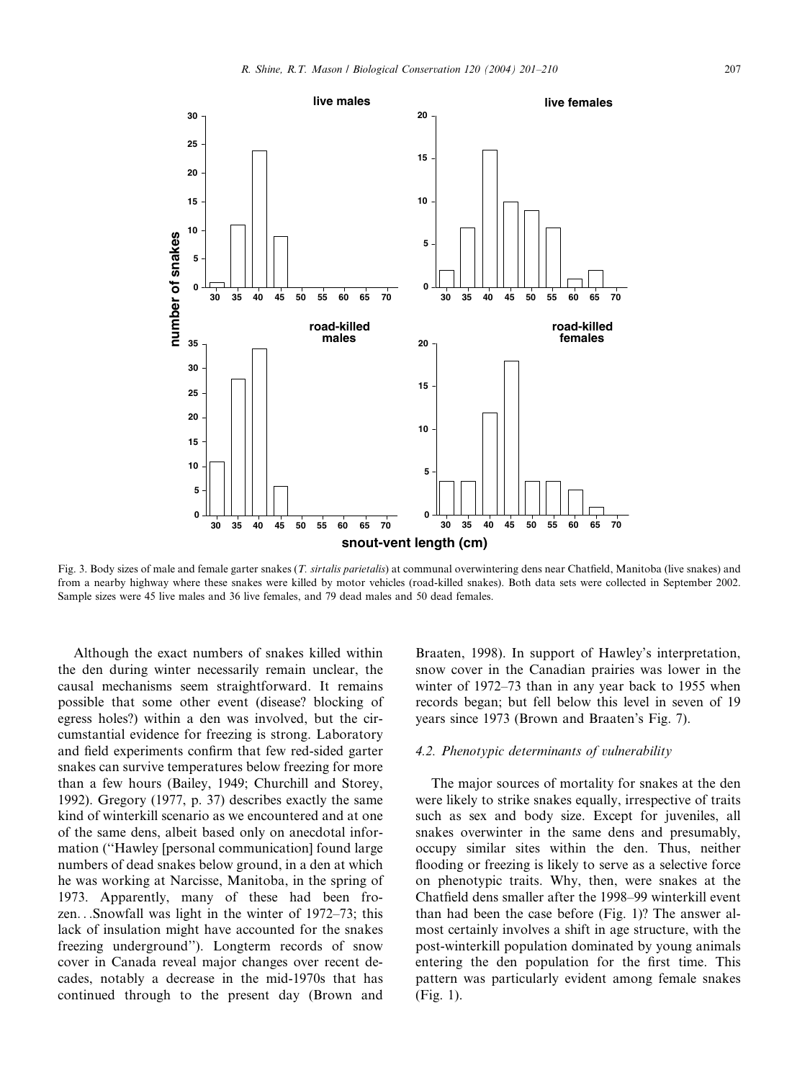

Fig. 3. Body sizes of male and female garter snakes (T. sirtalis parietalis) at communal overwintering dens near Chatfield, Manitoba (live snakes) and from a nearby highway where these snakes were killed by motor vehicles (road-killed snakes). Both data sets were collected in September 2002. Sample sizes were 45 live males and 36 live females, and 79 dead males and 50 dead females.

Although the exact numbers of snakes killed within the den during winter necessarily remain unclear, the causal mechanisms seem straightforward. It remains possible that some other event (disease? blocking of egress holes?) within a den was involved, but the circumstantial evidence for freezing is strong. Laboratory and field experiments confirm that few red-sided garter snakes can survive temperatures below freezing for more than a few hours (Bailey, 1949; Churchill and Storey, 1992). Gregory (1977, p. 37) describes exactly the same kind of winterkill scenario as we encountered and at one of the same dens, albeit based only on anecdotal information (''Hawley [personal communication] found large numbers of dead snakes below ground, in a den at which he was working at Narcisse, Manitoba, in the spring of 1973. Apparently, many of these had been frozen...Snowfall was light in the winter of 1972–73; this lack of insulation might have accounted for the snakes freezing underground''). Longterm records of snow cover in Canada reveal major changes over recent decades, notably a decrease in the mid-1970s that has continued through to the present day (Brown and Braaten, 1998). In support of Hawley's interpretation, snow cover in the Canadian prairies was lower in the winter of 1972–73 than in any year back to 1955 when records began; but fell below this level in seven of 19 years since 1973 (Brown and Braaten's Fig. 7).

#### 4.2. Phenotypic determinants of vulnerability

The major sources of mortality for snakes at the den were likely to strike snakes equally, irrespective of traits such as sex and body size. Except for juveniles, all snakes overwinter in the same dens and presumably, occupy similar sites within the den. Thus, neither flooding or freezing is likely to serve as a selective force on phenotypic traits. Why, then, were snakes at the Chatfield dens smaller after the 1998–99 winterkill event than had been the case before (Fig. 1)? The answer almost certainly involves a shift in age structure, with the post-winterkill population dominated by young animals entering the den population for the first time. This pattern was particularly evident among female snakes (Fig. 1).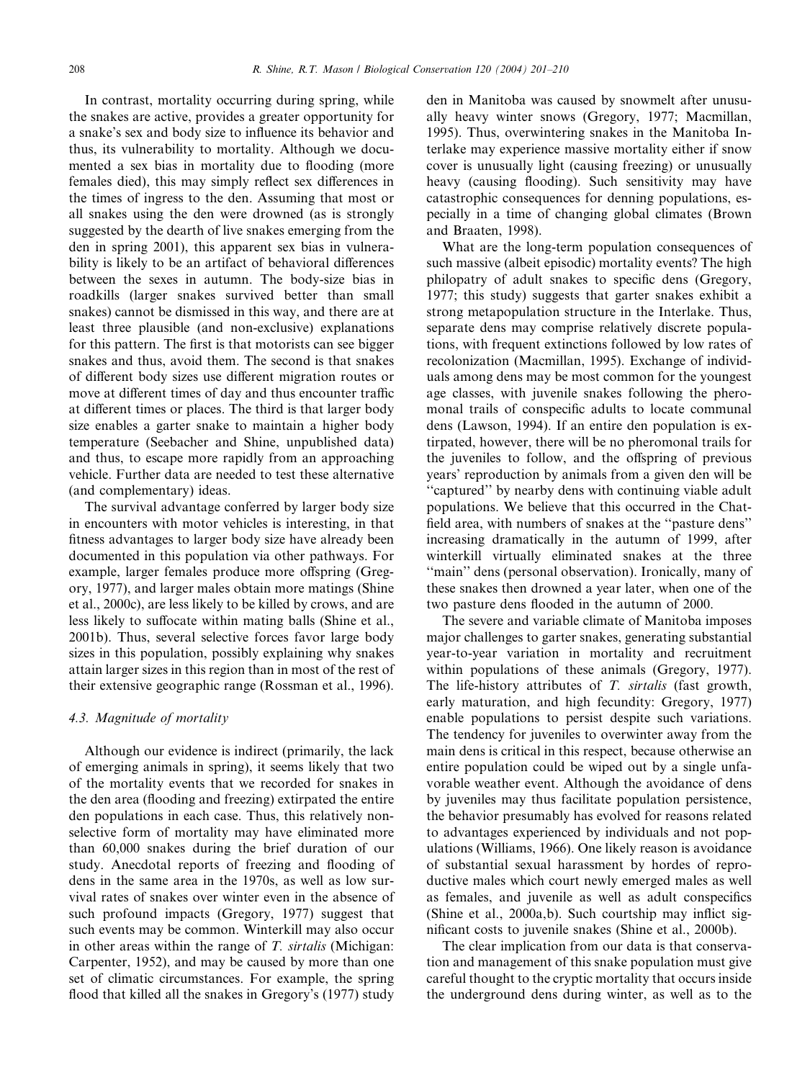In contrast, mortality occurring during spring, while the snakes are active, provides a greater opportunity for a snake's sex and body size to influence its behavior and thus, its vulnerability to mortality. Although we documented a sex bias in mortality due to flooding (more females died), this may simply reflect sex differences in the times of ingress to the den. Assuming that most or all snakes using the den were drowned (as is strongly suggested by the dearth of live snakes emerging from the den in spring 2001), this apparent sex bias in vulnerability is likely to be an artifact of behavioral differences between the sexes in autumn. The body-size bias in roadkills (larger snakes survived better than small snakes) cannot be dismissed in this way, and there are at least three plausible (and non-exclusive) explanations for this pattern. The first is that motorists can see bigger snakes and thus, avoid them. The second is that snakes of different body sizes use different migration routes or move at different times of day and thus encounter traffic at different times or places. The third is that larger body size enables a garter snake to maintain a higher body temperature (Seebacher and Shine, unpublished data) and thus, to escape more rapidly from an approaching vehicle. Further data are needed to test these alternative (and complementary) ideas.

The survival advantage conferred by larger body size in encounters with motor vehicles is interesting, in that fitness advantages to larger body size have already been documented in this population via other pathways. For example, larger females produce more offspring (Gregory, 1977), and larger males obtain more matings (Shine et al., 2000c), are less likely to be killed by crows, and are less likely to suffocate within mating balls (Shine et al., 2001b). Thus, several selective forces favor large body sizes in this population, possibly explaining why snakes attain larger sizes in this region than in most of the rest of their extensive geographic range (Rossman et al., 1996).

## 4.3. Magnitude of mortality

Although our evidence is indirect (primarily, the lack of emerging animals in spring), it seems likely that two of the mortality events that we recorded for snakes in the den area (flooding and freezing) extirpated the entire den populations in each case. Thus, this relatively nonselective form of mortality may have eliminated more than 60,000 snakes during the brief duration of our study. Anecdotal reports of freezing and flooding of dens in the same area in the 1970s, as well as low survival rates of snakes over winter even in the absence of such profound impacts (Gregory, 1977) suggest that such events may be common. Winterkill may also occur in other areas within the range of T. sirtalis (Michigan: Carpenter, 1952), and may be caused by more than one set of climatic circumstances. For example, the spring flood that killed all the snakes in Gregory's (1977) study

den in Manitoba was caused by snowmelt after unusually heavy winter snows (Gregory, 1977; Macmillan, 1995). Thus, overwintering snakes in the Manitoba Interlake may experience massive mortality either if snow cover is unusually light (causing freezing) or unusually heavy (causing flooding). Such sensitivity may have catastrophic consequences for denning populations, especially in a time of changing global climates (Brown and Braaten, 1998).

What are the long-term population consequences of such massive (albeit episodic) mortality events? The high philopatry of adult snakes to specific dens (Gregory, 1977; this study) suggests that garter snakes exhibit a strong metapopulation structure in the Interlake. Thus, separate dens may comprise relatively discrete populations, with frequent extinctions followed by low rates of recolonization (Macmillan, 1995). Exchange of individuals among dens may be most common for the youngest age classes, with juvenile snakes following the pheromonal trails of conspecific adults to locate communal dens (Lawson, 1994). If an entire den population is extirpated, however, there will be no pheromonal trails for the juveniles to follow, and the offspring of previous years' reproduction by animals from a given den will be 'captured'' by nearby dens with continuing viable adult populations. We believe that this occurred in the Chatfield area, with numbers of snakes at the ''pasture dens'' increasing dramatically in the autumn of 1999, after winterkill virtually eliminated snakes at the three "main" dens (personal observation). Ironically, many of these snakes then drowned a year later, when one of the two pasture dens flooded in the autumn of 2000.

The severe and variable climate of Manitoba imposes major challenges to garter snakes, generating substantial year-to-year variation in mortality and recruitment within populations of these animals (Gregory, 1977). The life-history attributes of T. sirtalis (fast growth, early maturation, and high fecundity: Gregory, 1977) enable populations to persist despite such variations. The tendency for juveniles to overwinter away from the main dens is critical in this respect, because otherwise an entire population could be wiped out by a single unfavorable weather event. Although the avoidance of dens by juveniles may thus facilitate population persistence, the behavior presumably has evolved for reasons related to advantages experienced by individuals and not populations (Williams, 1966). One likely reason is avoidance of substantial sexual harassment by hordes of reproductive males which court newly emerged males as well as females, and juvenile as well as adult conspecifics (Shine et al., 2000a,b). Such courtship may inflict significant costs to juvenile snakes (Shine et al., 2000b).

The clear implication from our data is that conservation and management of this snake population must give careful thought to the cryptic mortality that occurs inside the underground dens during winter, as well as to the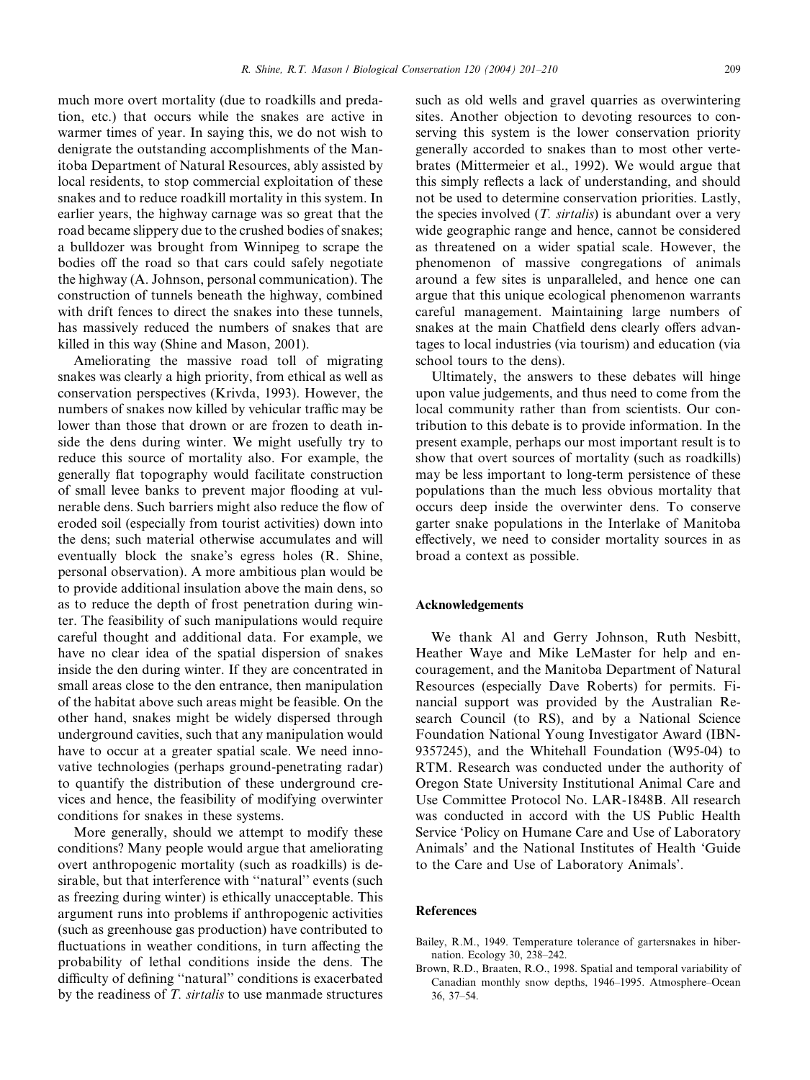much more overt mortality (due to roadkills and predation, etc.) that occurs while the snakes are active in warmer times of year. In saying this, we do not wish to denigrate the outstanding accomplishments of the Manitoba Department of Natural Resources, ably assisted by local residents, to stop commercial exploitation of these snakes and to reduce roadkill mortality in this system. In earlier years, the highway carnage was so great that the road became slippery due to the crushed bodies of snakes; a bulldozer was brought from Winnipeg to scrape the bodies off the road so that cars could safely negotiate the highway (A. Johnson, personal communication). The construction of tunnels beneath the highway, combined with drift fences to direct the snakes into these tunnels, has massively reduced the numbers of snakes that are killed in this way (Shine and Mason, 2001).

Ameliorating the massive road toll of migrating snakes was clearly a high priority, from ethical as well as conservation perspectives (Krivda, 1993). However, the numbers of snakes now killed by vehicular traffic may be lower than those that drown or are frozen to death inside the dens during winter. We might usefully try to reduce this source of mortality also. For example, the generally flat topography would facilitate construction of small levee banks to prevent major flooding at vulnerable dens. Such barriers might also reduce the flow of eroded soil (especially from tourist activities) down into the dens; such material otherwise accumulates and will eventually block the snake's egress holes (R. Shine, personal observation). A more ambitious plan would be to provide additional insulation above the main dens, so as to reduce the depth of frost penetration during winter. The feasibility of such manipulations would require careful thought and additional data. For example, we have no clear idea of the spatial dispersion of snakes inside the den during winter. If they are concentrated in small areas close to the den entrance, then manipulation of the habitat above such areas might be feasible. On the other hand, snakes might be widely dispersed through underground cavities, such that any manipulation would have to occur at a greater spatial scale. We need innovative technologies (perhaps ground-penetrating radar) to quantify the distribution of these underground crevices and hence, the feasibility of modifying overwinter conditions for snakes in these systems.

More generally, should we attempt to modify these conditions? Many people would argue that ameliorating overt anthropogenic mortality (such as roadkills) is desirable, but that interference with "natural" events (such as freezing during winter) is ethically unacceptable. This argument runs into problems if anthropogenic activities (such as greenhouse gas production) have contributed to fluctuations in weather conditions, in turn affecting the probability of lethal conditions inside the dens. The difficulty of defining ''natural'' conditions is exacerbated by the readiness of T. sirtalis to use manmade structures

such as old wells and gravel quarries as overwintering sites. Another objection to devoting resources to conserving this system is the lower conservation priority generally accorded to snakes than to most other vertebrates (Mittermeier et al., 1992). We would argue that this simply reflects a lack of understanding, and should not be used to determine conservation priorities. Lastly, the species involved  $(T. \, sirtalis)$  is abundant over a very wide geographic range and hence, cannot be considered as threatened on a wider spatial scale. However, the phenomenon of massive congregations of animals around a few sites is unparalleled, and hence one can argue that this unique ecological phenomenon warrants careful management. Maintaining large numbers of snakes at the main Chatfield dens clearly offers advantages to local industries (via tourism) and education (via school tours to the dens).

Ultimately, the answers to these debates will hinge upon value judgements, and thus need to come from the local community rather than from scientists. Our contribution to this debate is to provide information. In the present example, perhaps our most important result is to show that overt sources of mortality (such as roadkills) may be less important to long-term persistence of these populations than the much less obvious mortality that occurs deep inside the overwinter dens. To conserve garter snake populations in the Interlake of Manitoba effectively, we need to consider mortality sources in as broad a context as possible.

## Acknowledgements

We thank Al and Gerry Johnson, Ruth Nesbitt, Heather Waye and Mike LeMaster for help and encouragement, and the Manitoba Department of Natural Resources (especially Dave Roberts) for permits. Financial support was provided by the Australian Research Council (to RS), and by a National Science Foundation National Young Investigator Award (IBN-9357245), and the Whitehall Foundation (W95-04) to RTM. Research was conducted under the authority of Oregon State University Institutional Animal Care and Use Committee Protocol No. LAR-1848B. All research was conducted in accord with the US Public Health Service 'Policy on Humane Care and Use of Laboratory Animals' and the National Institutes of Health 'Guide to the Care and Use of Laboratory Animals'.

## References

- Bailey, R.M., 1949. Temperature tolerance of gartersnakes in hibernation. Ecology 30, 238–242.
- Brown, R.D., Braaten, R.O., 1998. Spatial and temporal variability of Canadian monthly snow depths, 1946–1995. Atmosphere–Ocean 36, 37–54.